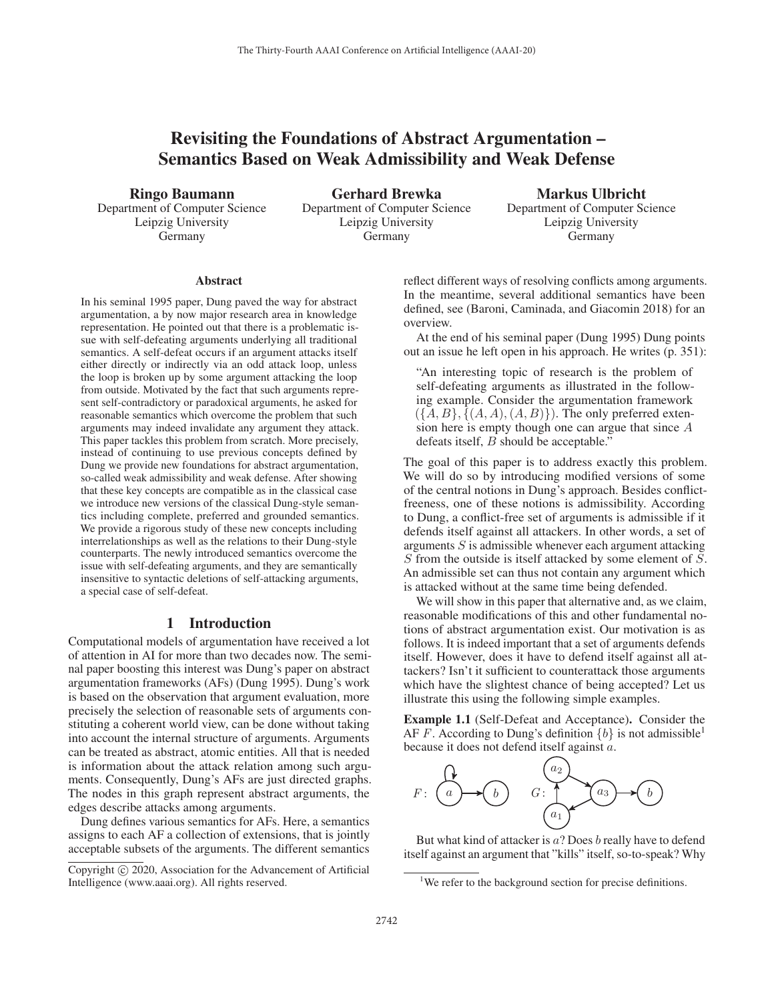# Revisiting the Foundations of Abstract Argumentation – Semantics Based on Weak Admissibility and Weak Defense

Ringo Baumann

Department of Computer Science Leipzig University Germany

Gerhard Brewka Department of Computer Science Leipzig University Germany

Markus Ulbricht Department of Computer Science Leipzig University Germany

#### **Abstract**

In his seminal 1995 paper, Dung paved the way for abstract argumentation, a by now major research area in knowledge representation. He pointed out that there is a problematic issue with self-defeating arguments underlying all traditional semantics. A self-defeat occurs if an argument attacks itself either directly or indirectly via an odd attack loop, unless the loop is broken up by some argument attacking the loop from outside. Motivated by the fact that such arguments represent self-contradictory or paradoxical arguments, he asked for reasonable semantics which overcome the problem that such arguments may indeed invalidate any argument they attack. This paper tackles this problem from scratch. More precisely, instead of continuing to use previous concepts defined by Dung we provide new foundations for abstract argumentation, so-called weak admissibility and weak defense. After showing that these key concepts are compatible as in the classical case we introduce new versions of the classical Dung-style semantics including complete, preferred and grounded semantics. We provide a rigorous study of these new concepts including interrelationships as well as the relations to their Dung-style counterparts. The newly introduced semantics overcome the issue with self-defeating arguments, and they are semantically insensitive to syntactic deletions of self-attacking arguments, a special case of self-defeat.

# 1 Introduction

Computational models of argumentation have received a lot of attention in AI for more than two decades now. The seminal paper boosting this interest was Dung's paper on abstract argumentation frameworks (AFs) (Dung 1995). Dung's work is based on the observation that argument evaluation, more precisely the selection of reasonable sets of arguments constituting a coherent world view, can be done without taking into account the internal structure of arguments. Arguments can be treated as abstract, atomic entities. All that is needed is information about the attack relation among such arguments. Consequently, Dung's AFs are just directed graphs. The nodes in this graph represent abstract arguments, the edges describe attacks among arguments.

Dung defines various semantics for AFs. Here, a semantics assigns to each AF a collection of extensions, that is jointly acceptable subsets of the arguments. The different semantics

reflect different ways of resolving conflicts among arguments. In the meantime, several additional semantics have been defined, see (Baroni, Caminada, and Giacomin 2018) for an overview.

At the end of his seminal paper (Dung 1995) Dung points out an issue he left open in his approach. He writes (p. 351):

"An interesting topic of research is the problem of self-defeating arguments as illustrated in the following example. Consider the argumentation framework  $({A, B}, {A, A}, {A, B})$ . The only preferred extension here is empty though one can argue that since A defeats itself, *B* should be acceptable."

The goal of this paper is to address exactly this problem. We will do so by introducing modified versions of some of the central notions in Dung's approach. Besides conflictfreeness, one of these notions is admissibility. According to Dung, a conflict-free set of arguments is admissible if it defends itself against all attackers. In other words, a set of arguments  $S$  is admissible whenever each argument attacking S from the outside is itself attacked by some element of S. An admissible set can thus not contain any argument which is attacked without at the same time being defended.

We will show in this paper that alternative and, as we claim, reasonable modifications of this and other fundamental notions of abstract argumentation exist. Our motivation is as follows. It is indeed important that a set of arguments defends itself. However, does it have to defend itself against all attackers? Isn't it sufficient to counterattack those arguments which have the slightest chance of being accepted? Let us illustrate this using the following simple examples.

Example 1.1 (Self-Defeat and Acceptance). Consider the AF F. According to Dung's definition  $\{b\}$  is not admissible<sup>1</sup> because it does not defend itself against a.



But what kind of attacker is  $a$ ? Does  $b$  really have to defend itself against an argument that "kills" itself, so-to-speak? Why

Copyright  $\odot$  2020, Association for the Advancement of Artificial Intelligence (www.aaai.org). All rights reserved.

<sup>&</sup>lt;sup>1</sup>We refer to the background section for precise definitions.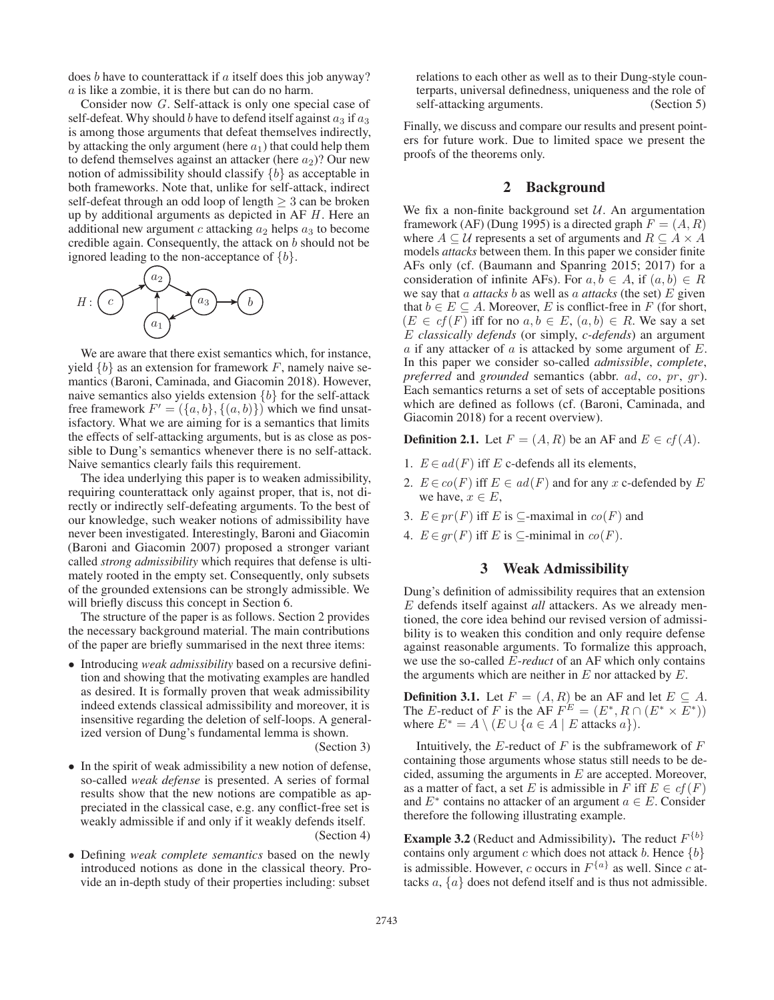does b have to counterattack if a itself does this job anyway? a is like a zombie, it is there but can do no harm.

Consider now G. Self-attack is only one special case of self-defeat. Why should  $b$  have to defend itself against  $a_3$  if  $a_3$ is among those arguments that defeat themselves indirectly, by attacking the only argument (here  $a_1$ ) that could help them to defend themselves against an attacker (here  $a_2$ )? Our new notion of admissibility should classify  ${b}$  as acceptable in both frameworks. Note that, unlike for self-attack, indirect self-defeat through an odd loop of length  $\geq 3$  can be broken up by additional arguments as depicted in  $AF H$ . Here an additional new argument c attacking  $a_2$  helps  $a_3$  to become credible again. Consequently, the attack on b should not be ignored leading to the non-acceptance of  $\{b\}$ .



We are aware that there exist semantics which, for instance, yield  $\{b\}$  as an extension for framework F, namely naive semantics (Baroni, Caminada, and Giacomin 2018). However, naive semantics also yields extension  ${b}$  for the self-attack free framework  $F' = (\{a, b\}, \{(a, b)\})$  which we find unsatisfactory. What we are aiming for is a semantics that limits the effects of self-attacking arguments, but is as close as possible to Dung's semantics whenever there is no self-attack. Naive semantics clearly fails this requirement.

The idea underlying this paper is to weaken admissibility, requiring counterattack only against proper, that is, not directly or indirectly self-defeating arguments. To the best of our knowledge, such weaker notions of admissibility have never been investigated. Interestingly, Baroni and Giacomin (Baroni and Giacomin 2007) proposed a stronger variant called *strong admissibility* which requires that defense is ultimately rooted in the empty set. Consequently, only subsets of the grounded extensions can be strongly admissible. We will briefly discuss this concept in Section 6.

The structure of the paper is as follows. Section 2 provides the necessary background material. The main contributions of the paper are briefly summarised in the next three items:

• Introducing *weak admissibility* based on a recursive definition and showing that the motivating examples are handled as desired. It is formally proven that weak admissibility indeed extends classical admissibility and moreover, it is insensitive regarding the deletion of self-loops. A generalized version of Dung's fundamental lemma is shown.

(Section 3)

- In the spirit of weak admissibility a new notion of defense, so-called *weak defense* is presented. A series of formal results show that the new notions are compatible as appreciated in the classical case, e.g. any conflict-free set is weakly admissible if and only if it weakly defends itself. (Section 4)
- Defining *weak complete semantics* based on the newly introduced notions as done in the classical theory. Provide an in-depth study of their properties including: subset

relations to each other as well as to their Dung-style counterparts, universal definedness, uniqueness and the role of self-attacking arguments. (Section 5)

Finally, we discuss and compare our results and present pointers for future work. Due to limited space we present the proofs of the theorems only.

# 2 Background

We fix a non-finite background set  $U$ . An argumentation framework (AF) (Dung 1995) is a directed graph  $F = (A, R)$ where  $A \subseteq U$  represents a set of arguments and  $R \subseteq A \times A$ models *attacks* between them. In this paper we consider finite AFs only (cf. (Baumann and Spanring 2015; 2017) for a consideration of infinite AFs). For  $a, b \in A$ , if  $(a, b) \in R$ we say that a *attacks* b as well as a *attacks* (the set) E given that  $b \in E \subseteq A$ . Moreover, E is conflict-free in F (for short,  $(E \in cf(F)$  iff for no  $a, b \in E$ ,  $(a, b) \in R$ . We say a set E *classically defends* (or simply, *c-defends*) an argument  $\alpha$  if any attacker of  $\alpha$  is attacked by some argument of  $E$ . In this paper we consider so-called *admissible*, *complete*, *preferred* and *grounded* semantics (abbr. *ad, co, pr, qr*). Each semantics returns a set of sets of acceptable positions which are defined as follows (cf. (Baroni, Caminada, and Giacomin 2018) for a recent overview).

**Definition 2.1.** Let  $F = (A, R)$  be an AF and  $E \in cf(A)$ .

- 1.  $E \in ad(F)$  iff E c-defends all its elements,
- 2.  $E \in co(F)$  iff  $E \in ad(F)$  and for any x c-defended by E we have,  $x \in E$ ,
- 3.  $E \in pr(F)$  iff E is ⊂-maximal in  $co(F)$  and
- 4.  $E \in qr(F)$  iff E is ⊂-minimal in  $co(F)$ .

# 3 Weak Admissibility

Dung's definition of admissibility requires that an extension E defends itself against *all* attackers. As we already mentioned, the core idea behind our revised version of admissibility is to weaken this condition and only require defense against reasonable arguments. To formalize this approach, we use the so-called E-*reduct* of an AF which only contains the arguments which are neither in  $E$  nor attacked by  $E$ .

**Definition 3.1.** Let  $F = (A, R)$  be an AF and let  $E \subseteq A$ . The E-reduct of F is the AF  $F^E = (E^*, R \cap (E^* \times E^*))$ where  $E^* = A \setminus (E \cup \{a \in A \mid E \text{ attacks } a\}).$ 

Intuitively, the  $E$ -reduct of  $F$  is the subframework of  $F$ containing those arguments whose status still needs to be decided, assuming the arguments in  $E$  are accepted. Moreover, as a matter of fact, a set E is admissible in F iff  $E \in cf(F)$ and  $E^*$  contains no attacker of an argument  $a \in E$ . Consider therefore the following illustrating example.

**Example 3.2** (Reduct and Admissibility). The reduct  $F^{\{b\}}$ contains only argument c which does not attack b. Hence  $\{b\}$ is admissible. However, c occurs in  $F^{\{a\}}$  as well. Since c attacks  $a, \{a\}$  does not defend itself and is thus not admissible.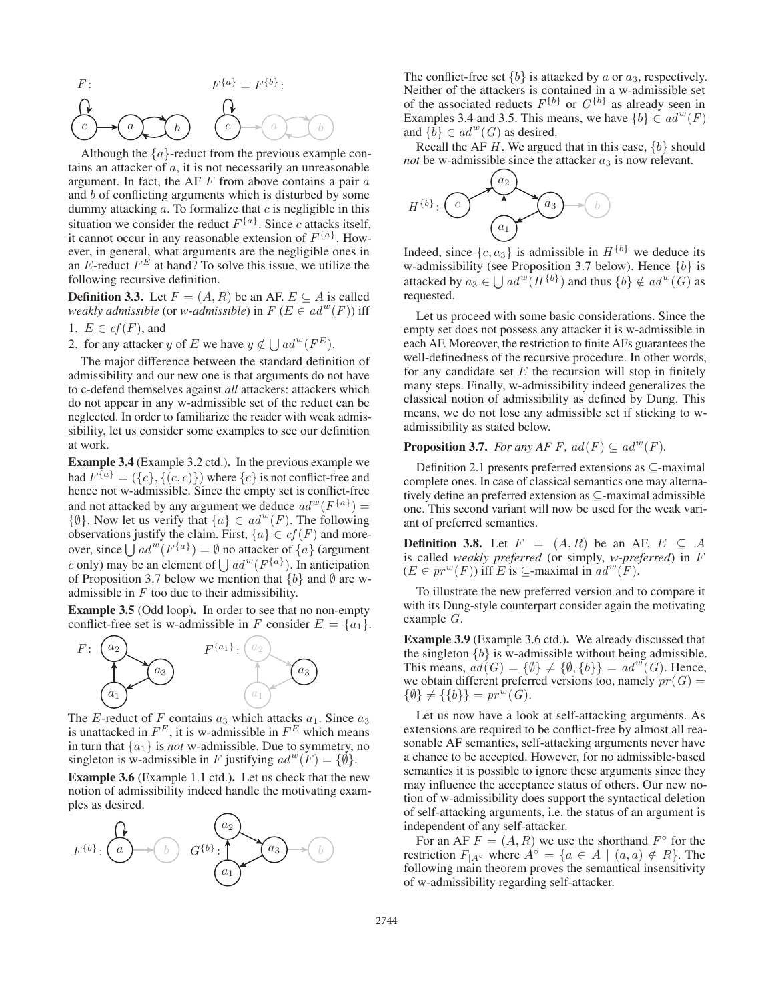$$
F: \qquad F^{\{a\}} = F^{\{b\}}:
$$
\n
$$
F^{\{a\}} = F^{\{b\}}:
$$
\n
$$
F^{\{a\}} = F^{\{b\}}:
$$

Although the  $\{a\}$ -reduct from the previous example contains an attacker of  $a$ , it is not necessarily an unreasonable argument. In fact, the AF  $F$  from above contains a pair  $a$ and b of conflicting arguments which is disturbed by some dummy attacking  $a$ . To formalize that  $c$  is negligible in this situation we consider the reduct  $F^{\{a\}}$ . Since c attacks itself, it cannot occur in any reasonable extension of  $F^{\{a\}}$ . However, in general, what arguments are the negligible ones in an E-reduct  $F^E$  at hand? To solve this issue, we utilize the following recursive definition.

**Definition 3.3.** Let  $F = (A, R)$  be an AF.  $E \subseteq A$  is called *weakly admissible* (or *w-admissible*) in  $F(E \in ad^w(F))$  iff

1.  $E \in cf(F)$ , and

2. for any attacker y of E we have  $y \notin \bigcup ad^w(F^E)$ .

The major difference between the standard definition of admissibility and our new one is that arguments do not have to c-defend themselves against *all* attackers: attackers which do not appear in any w-admissible set of the reduct can be neglected. In order to familiarize the reader with weak admissibility, let us consider some examples to see our definition at work.

Example 3.4 (Example 3.2 ctd.). In the previous example we had  $F^{\overline{\{a\}}} = (\{c\}, \{(c, c)\})$  where  $\{c\}$  is not conflict-free and hence not w-admissible. Since the empty set is conflict-free and not attacked by any argument we deduce  $ad^w(F^{\{a\}}) =$  $\{\emptyset\}$ . Now let us verify that  $\{a\} \in ad^w(F)$ . The following observations justify the claim. First,  $\{a\} \in cf(F)$  and moreover, since  $\bigcup ad^w(F^{\{a\}}) = \emptyset$  no attacker of  $\{a\}$  (argument c only) may be an element of  $\bigcup ad^w(F^{\{a\}})$ . In anticipation of Proposition 3.7 below we mention that  ${b}$  and  $\emptyset$  are wadmissible in  $F$  too due to their admissibility.

Example 3.5 (Odd loop). In order to see that no non-empty conflict-free set is w-admissible in F consider  $E = \{a_1\}.$ 



The E-reduct of F contains  $a_3$  which attacks  $a_1$ . Since  $a_3$ is unattacked in  $F^E$ , it is w-admissible in  $F^E$  which means in turn that  $\{a_1\}$  is *not* w-admissible. Due to symmetry, no singleton is w-admissible in F justifying  $ad^w(F) = \{\emptyset\}.$ 

Example 3.6 (Example 1.1 ctd.). Let us check that the new notion of admissibility indeed handle the motivating examples as desired.



The conflict-free set  ${b}$  is attacked by a or  $a_3$ , respectively. Neither of the attackers is contained in a w-admissible set of the associated reducts  $F^{\{b\}}$  or  $G^{\{b\}}$  as already seen in Examples 3.4 and 3.5. This means, we have  ${b} \in ad^w(F)$ and  $\{\tilde{b}\}\in ad^w(G)$  as desired.

Recall the AF H. We argued that in this case,  $\{b\}$  should *not* be w-admissible since the attacker  $a_3$  is now relevant.



Indeed, since  $\{c, a_3\}$  is admissible in  $H^{\{b\}}$  we deduce its w-admissibility (see Proposition 3.7 below). Hence  $\{b\}$  is attacked by  $a_3 \in \bigcup ad^w(H^{\{b\}})$  and thus  $\{b\} \notin ad^w(G)$  as requested.

Let us proceed with some basic considerations. Since the empty set does not possess any attacker it is w-admissible in each AF. Moreover, the restriction to finite AFs guarantees the well-definedness of the recursive procedure. In other words, for any candidate set  $E$  the recursion will stop in finitely many steps. Finally, w-admissibility indeed generalizes the classical notion of admissibility as defined by Dung. This means, we do not lose any admissible set if sticking to wadmissibility as stated below.

## **Proposition 3.7.** *For any AF F, ad(F)*  $\subseteq$   $ad^w(F)$ *.*

Definition 2.1 presents preferred extensions as ⊆-maximal complete ones. In case of classical semantics one may alternatively define an preferred extension as ⊆-maximal admissible one. This second variant will now be used for the weak variant of preferred semantics.

**Definition 3.8.** Let  $F = (A, R)$  be an AF,  $E \subseteq A$ is called *weakly preferred* (or simply, *w-preferred*) in F  $(E \in pr^w(F))$  iff E is  $\subseteq$ -maximal in  $ad^w(F)$ .

To illustrate the new preferred version and to compare it with its Dung-style counterpart consider again the motivating example G.

Example 3.9 (Example 3.6 ctd.). We already discussed that the singleton  ${b}$  is w-admissible without being admissible. This means,  $ad(G) = \{ \emptyset \} \neq \{ \emptyset, \{ b \} \} = ad^w(G)$ . Hence, we obtain different preferred versions too, namely  $pr(G)$  =  $\{\emptyset\} \neq \{\{b\}\} = pr^w(G).$ 

Let us now have a look at self-attacking arguments. As extensions are required to be conflict-free by almost all reasonable AF semantics, self-attacking arguments never have a chance to be accepted. However, for no admissible-based semantics it is possible to ignore these arguments since they may influence the acceptance status of others. Our new notion of w-admissibility does support the syntactical deletion of self-attacking arguments, i.e. the status of an argument is independent of any self-attacker.

For an AF  $F = (A, R)$  we use the shorthand  $F^{\circ}$  for the restriction  $F_{A^{\circ}}$  where  $A^{\circ} = \{a \in A \mid (a, a) \notin R\}$ . The following main theorem proves the semantical insensitivity of w-admissibility regarding self-attacker.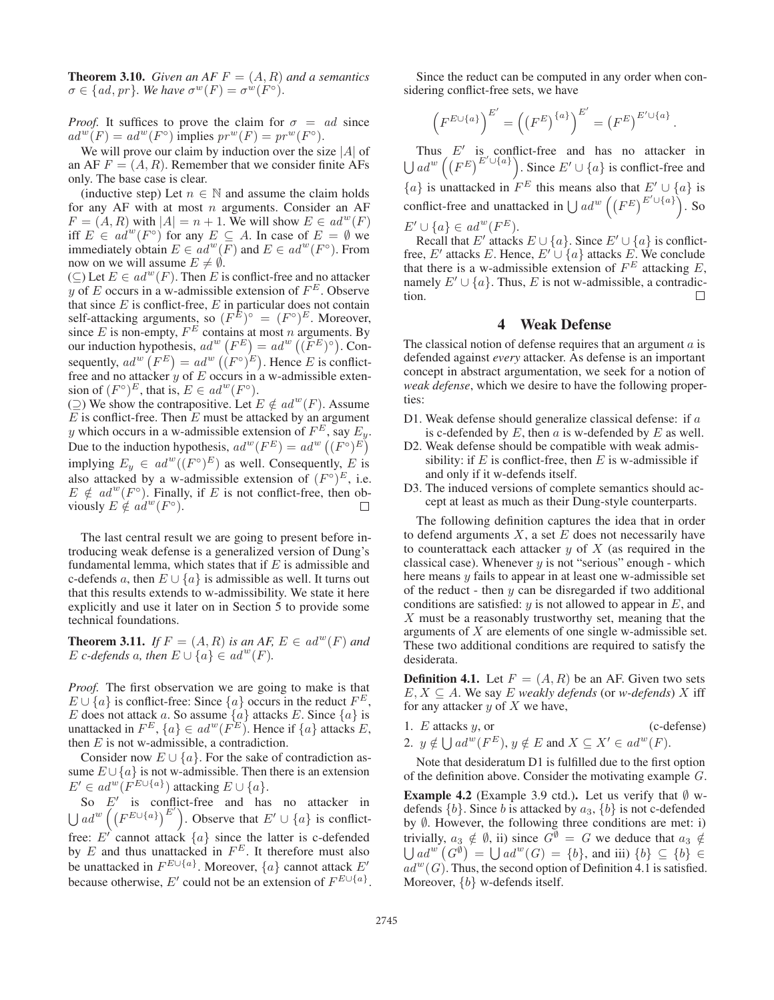**Theorem 3.10.** *Given an AF*  $F = (A, R)$  *and a semantics*  $\sigma \in \{ad, pr\}$ *. We have*  $\sigma^w(F) = \sigma^w(F^{\circ})$ *.* 

*Proof.* It suffices to prove the claim for  $\sigma = ad$  since  $ad^w(F) = ad^w(F^{\circ})$  implies  $pr^w(F) = pr^w(F^{\circ}).$ 

We will prove our claim by induction over the size  $|A|$  of an AF  $F = (A, R)$ . Remember that we consider finite AFs only. The base case is clear.

(inductive step) Let  $n \in \mathbb{N}$  and assume the claim holds for any AF with at most  $n$  arguments. Consider an AF  $F = (A, R)$  with  $|A| = n + 1$ . We will show  $E \in ad^w(F)$ iff  $E \in ad^w(F^{\circ})$  for any  $E \subseteq A$ . In case of  $E = \emptyset$  we immediately obtain  $E \in ad^w(F)$  and  $E \in ad^w(F^{\circ})$ . From now on we will assume  $E \neq \emptyset$ .

(⊆) Let  $E \in ad^w(F)$ . Then E is conflict-free and no attacker y of E occurs in a w-admissible extension of  $F^E$ . Observe that since  $E$  is conflict-free,  $E$  in particular does not contain self-attacking arguments, so  $(F^{\cancel{E}})^{\circ} = (F^{\circ})^{\cancel{E}}$ . Moreover, since E is non-empty,  $F^E$  contains at most n arguments. By our induction hypothesis,  $ad^w(F^E) = ad^w((F^E)^{\circ})$ . Consequently,  $ad^w(F^E) = ad^w((F^{\circ})^E)$ . Hence E is conflictfree and no attacker y of E occurs in a w-admissible extension of  $(F^{\circ})^E$ , that is,  $E \in ad^w(F^{\circ})$ .

(⊇) We show the contrapositive. Let  $E \notin ad^w(F)$ . Assume  $E$  is conflict-free. Then  $E$  must be attacked by an argument y which occurs in a w-admissible extension of  $F^E$ , say  $E_y$ . Due to the induction hypothesis,  $ad^w(F^E) = ad^w((F^{\circ})^E)$ implying  $E_y \in ad^w((F^{\circ})^E)$  as well. Consequently, E is also attacked by a w-admissible extension of  $(F^{\circ})^E$ , i.e.  $E \notin ad^w(F^{\circ})$ . Finally, if E is not conflict-free, then obviously  $E \notin ad^w(F^{\circ}).$ 

The last central result we are going to present before introducing weak defense is a generalized version of Dung's fundamental lemma, which states that if  $E$  is admissible and c-defends a, then  $E \cup \{a\}$  is admissible as well. It turns out that this results extends to w-admissibility. We state it here explicitly and use it later on in Section 5 to provide some technical foundations.

**Theorem 3.11.** *If*  $F = (A, R)$  *is an AF,*  $E \in ad^w(F)$  *and* E *c*-defends a, then  $E \cup \{a\} \in ad^w(F)$ .

*Proof.* The first observation we are going to make is that  $E \cup \{a\}$  is conflict-free: Since  $\{a\}$  occurs in the reduct  $F^E$ , E does not attack a. So assume  $\{a\}$  attacks E. Since  $\{a\}$  is unattacked in  $F^E$ ,  $\{a\} \in ad^w(F^E)$ . Hence if  $\{a\}$  attacks E, then  $E$  is not w-admissible, a contradiction.

Consider now  $E \cup \{a\}$ . For the sake of contradiction assume  $E \cup \{a\}$  is not w-admissible. Then there is an extension  $E' \in ad^w(F^{E \cup \{a\}})$  attacking  $E \cup \{a\}.$ 

So  $E'$  is conflict-free and has no attacker in  $\bigcup ad^{w}\left(\left(F^{E\cup\{a\}}\right)^{E'}\right)$ . Observe that  $E'\cup\{a\}$  is conflictfree: E' cannot attack  $\{a\}$  since the latter is c-defended by  $E$  and thus unattacked in  $F^E$ . It therefore must also be unattacked in  $F^{E \cup \{a\}}$ . Moreover,  $\{a\}$  cannot attack  $E'$ because otherwise, E' could not be an extension of  $F^{E \cup \{a\}}$ .

Since the reduct can be computed in any order when considering conflict-free sets, we have

$$
\left(F^{E\cup\{a\}}\right)^{E'}=\left(\left(F^E\right)^{\{a\}}\right)^{E'}=\left(F^E\right)^{E'\cup\{a\}}.
$$

Thus  $E'$  is conflict-free and has no attacker in  $\bigcup ad^w \left( (F^E)^{E' \cup \{a\}} \right)$ . Since  $E' \cup \{a\}$  is conflict-free and  ${a}$  is unattacked in  $F^E$  this means also that  $E' \cup {a}$  is conflict-free and unattacked in  $\bigcup ad^w \left( \left( F^E \right)^{E' \cup \{a\}} \right)$ . So  $E' \cup \{a\} \in ad^w(F^E).$ 

Recall that E' attacks  $E \cup \{a\}$ . Since  $E' \cup \{a\}$  is conflictfree, E' attacks E. Hence,  $E' \cup \{a\}$  attacks E. We conclude that there is a w-admissible extension of  $F^E$  attacking  $E$ , namely  $E' \cup \{a\}$ . Thus, E is not w-admissible, a contradiction.  $\Box$ 

#### 4 Weak Defense

The classical notion of defense requires that an argument  $a$  is defended against *every* attacker. As defense is an important concept in abstract argumentation, we seek for a notion of *weak defense*, which we desire to have the following properties:

- D1. Weak defense should generalize classical defense: if a is c-defended by  $E$ , then  $a$  is w-defended by  $E$  as well.
- D2. Weak defense should be compatible with weak admissibility: if  $E$  is conflict-free, then  $E$  is w-admissible if and only if it w-defends itself.
- D3. The induced versions of complete semantics should accept at least as much as their Dung-style counterparts.

The following definition captures the idea that in order to defend arguments  $X$ , a set  $E$  does not necessarily have to counterattack each attacker  $y$  of  $X$  (as required in the classical case). Whenever  $y$  is not "serious" enough - which here means y fails to appear in at least one w-admissible set of the reduct - then  $y$  can be disregarded if two additional conditions are satisfied:  $y$  is not allowed to appear in  $E$ , and  $X$  must be a reasonably trustworthy set, meaning that the arguments of X are elements of one single w-admissible set. These two additional conditions are required to satisfy the desiderata.

**Definition 4.1.** Let  $F = (A, R)$  be an AF. Given two sets  $E, X \subseteq A$ . We say E *weakly defends* (or *w-defends*) X iff for any attacker  $y$  of  $X$  we have,

1.  $E$  attacks  $y$ , or (c-defense) 2.  $y \notin \bigcup ad^w(F^E), y \notin E$  and  $X \subseteq X' \in ad^w(F)$ .

Note that desideratum D1 is fulfilled due to the first option of the definition above. Consider the motivating example G.

**Example 4.2** (Example 3.9 ctd.). Let us verify that  $\emptyset$  wdefends  $\{b\}$ . Since b is attacked by  $a_3$ ,  $\{b\}$  is not c-defended by ∅. However, the following three conditions are met: i) trivially,  $a_3 \notin \emptyset$ , ii) since  $G^{\emptyset} = G$  we deduce that  $a_3 \notin$  $\bigcup ad^{w}(G^{\emptyset}) = \bigcup ad^{w}(G) = \{b\},$  and iii)  $\{b\} \subseteq \{b\} \in$  $ad^w(G)$ . Thus, the second option of Definition 4.1 is satisfied. Moreover,  $\{b\}$  w-defends itself.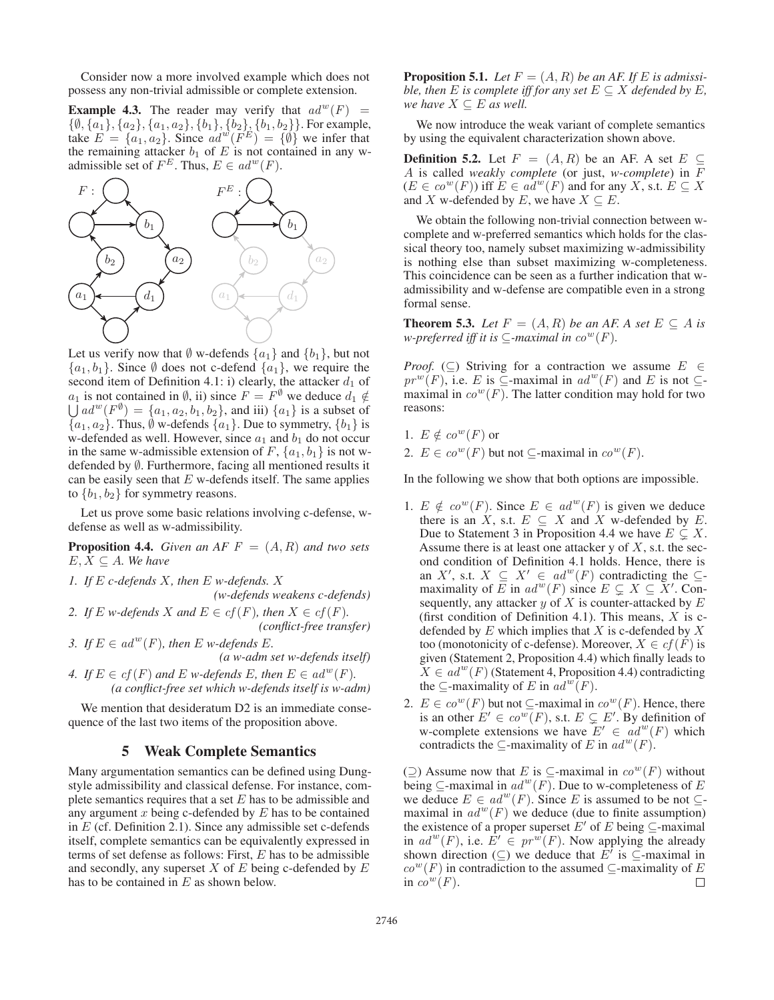Consider now a more involved example which does not possess any non-trivial admissible or complete extension.

**Example 4.3.** The reader may verify that  $ad^w(F)$  =  $\{\emptyset, \{a_1\}, \{a_2\}, \{a_1, a_2\}, \{b_1\}, \{b_2\}, \{b_1, b_2\}\}.$  For example, take  $E = \{a_1, a_2\}$ . Since  $ad^{w}(F^{E}) = \{\emptyset\}$  we infer that the remaining attacker  $b_1$  of E is not contained in any wadmissible set of  $F^E$ . Thus,  $E \in ad^w(F)$ .



Let us verify now that  $\emptyset$  w-defends  $\{a_1\}$  and  $\{b_1\}$ , but not  $\{a_1, b_1\}$ . Since  $\emptyset$  does not c-defend  $\{a_1\}$ , we require the second item of Definition 4.1: i) clearly, the attacker  $d_1$  of  $a_1$  is not contained in  $\emptyset$ , ii) since  $F = F^{\emptyset}$  we deduce  $d_1 \notin$  $\bigcup ad^w(F^{\emptyset}) = \{a_1, a_2, b_1, b_2\}$ , and iii)  $\{a_1\}$  is a subset of  ${a_1, a_2}$ . Thus,  $\emptyset$  w-defends  ${a_1}$ . Due to symmetry,  ${b_1}$  is w-defended as well. However, since  $a_1$  and  $b_1$  do not occur in the same w-admissible extension of F,  $\{a_1, b_1\}$  is not wdefended by ∅. Furthermore, facing all mentioned results it can be easily seen that  $E$  w-defends itself. The same applies to  ${b_1, b_2}$  for symmetry reasons.

Let us prove some basic relations involving c-defense, wdefense as well as w-admissibility.

**Proposition 4.4.** *Given an AF*  $F = (A, R)$  *and two sets*  $E, X \subseteq A$ *. We have* 

*1. If* E *c-defends* X*, then* E *w-defends.* X *(w-defends weakens c-defends)*

2. If E *w*-defends X and  $E \in cf(F)$ , then  $X \in cf(F)$ . *(conflict-free transfer)*

*3. If*  $E \in ad^w(F)$ *, then*  $E$  *w-defends*  $E$ *. (a w-adm set w-defends itself)*

*4. If*  $E \in cf(F)$  *and*  $E$  *w-defends*  $E$ *, then*  $E \in ad^w(F)$ *. (a conflict-free set which w-defends itself is w-adm)*

We mention that desideratum D2 is an immediate consequence of the last two items of the proposition above.

## 5 Weak Complete Semantics

Many argumentation semantics can be defined using Dungstyle admissibility and classical defense. For instance, complete semantics requires that a set  $E$  has to be admissible and any argument  $x$  being c-defended by  $E$  has to be contained in  $E$  (cf. Definition 2.1). Since any admissible set c-defends itself, complete semantics can be equivalently expressed in terms of set defense as follows: First,  $E$  has to be admissible and secondly, any superset  $X$  of  $E$  being c-defended by  $E$ has to be contained in  $E$  as shown below.

**Proposition 5.1.** Let  $F = (A, R)$  be an AF. If E is admissi*ble, then*  $E$  *is complete iff for any set*  $E \subseteq X$  *defended by*  $E$ *, we have*  $X \subseteq E$  *as well.* 

We now introduce the weak variant of complete semantics by using the equivalent characterization shown above.

**Definition 5.2.** Let  $F = (A, R)$  be an AF. A set  $E \subseteq$ A is called *weakly complete* (or just, *w-complete*) in F  $(E \in co^w(F))$  iff  $E \in ad^w(F)$  and for any X, s.t.  $E \subseteq X$ and X w-defended by E, we have  $X \subseteq E$ .

We obtain the following non-trivial connection between wcomplete and w-preferred semantics which holds for the classical theory too, namely subset maximizing w-admissibility is nothing else than subset maximizing w-completeness. This coincidence can be seen as a further indication that wadmissibility and w-defense are compatible even in a strong formal sense.

**Theorem 5.3.** *Let*  $F = (A, R)$  *be an AF. A set*  $E \subseteq A$  *is w-preferred iff it is*  $\subseteq$ *-maximal in*  $co^w(F)$ *.* 

*Proof.* (⊂) Striving for a contraction we assume  $E \in$  $pr^w(F)$ , i.e. E is ⊆-maximal in  $ad^w(F)$  and E is not ⊆maximal in  $co^w(F)$ . The latter condition may hold for two reasons:

1. 
$$
E \notin co^w(F)
$$
 or

2.  $E \in co^w(F)$  but not ⊆-maximal in  $co^w(F)$ .

In the following we show that both options are impossible.

- 1.  $E \notin co^w(F)$ . Since  $E \in ad^w(F)$  is given we deduce there is an X, s.t.  $E \subseteq X$  and X w-defended by E. Due to Statement 3 in Proposition 4.4 we have  $E \subsetneq X$ . Assume there is at least one attacker  $y$  of  $X$ , s.t. the second condition of Definition 4.1 holds. Hence, there is an X', s.t.  $X \subseteq X' \in ad^w(F)$  contradicting the  $\subseteq$ maximality of  $\overline{E}$  in  $ad^w(F)$  since  $E \subsetneq X \subseteq X'$ . Consequently, any attacker  $y$  of  $X$  is counter-attacked by  $E$ (first condition of Definition 4.1). This means,  $X$  is cdefended by  $E$  which implies that  $X$  is c-defended by  $X$ too (monotonicity of c-defense). Moreover,  $X \in cf(F)$  is given (Statement 2, Proposition 4.4) which finally leads to  $X \in ad^w(F)$  (Statement 4, Proposition 4.4) contradicting the  $\subseteq$ -maximality of E in  $ad^w(F)$ .
- 2.  $E \in co^w(F)$  but not  $\subseteq$ -maximal in  $co^w(F)$ . Hence, there is an other  $E' \in co^w(F)$ , s.t.  $E \subsetneq E'$ . By definition of w-complete extensions we have  $E' \in ad^w(F)$  which contradicts the  $\subseteq$ -maximality of E in  $ad^w(F)$ .

(⊇) Assume now that E is  $\subseteq$ -maximal in  $co<sup>w</sup>(F)$  without being  $\subseteq$ -maximal in  $ad^w(F)$ . Due to w-completeness of E we deduce  $E \in ad^w(F)$ . Since E is assumed to be not  $\subseteq$ maximal in  $ad^w(F)$  we deduce (due to finite assumption) the existence of a proper superset E' of E being  $\subseteq$ -maximal in  $ad^w(F)$ , i.e.  $E' \in pr^w(F)$ . Now applying the already shown direction  $(\subseteq)$  we deduce that  $E'$  is  $\subseteq$ -maximal in  $co<sup>w</sup>(F)$  in contradiction to the assumed ⊆-maximality of E in  $co^w(F)$ .  $\Box$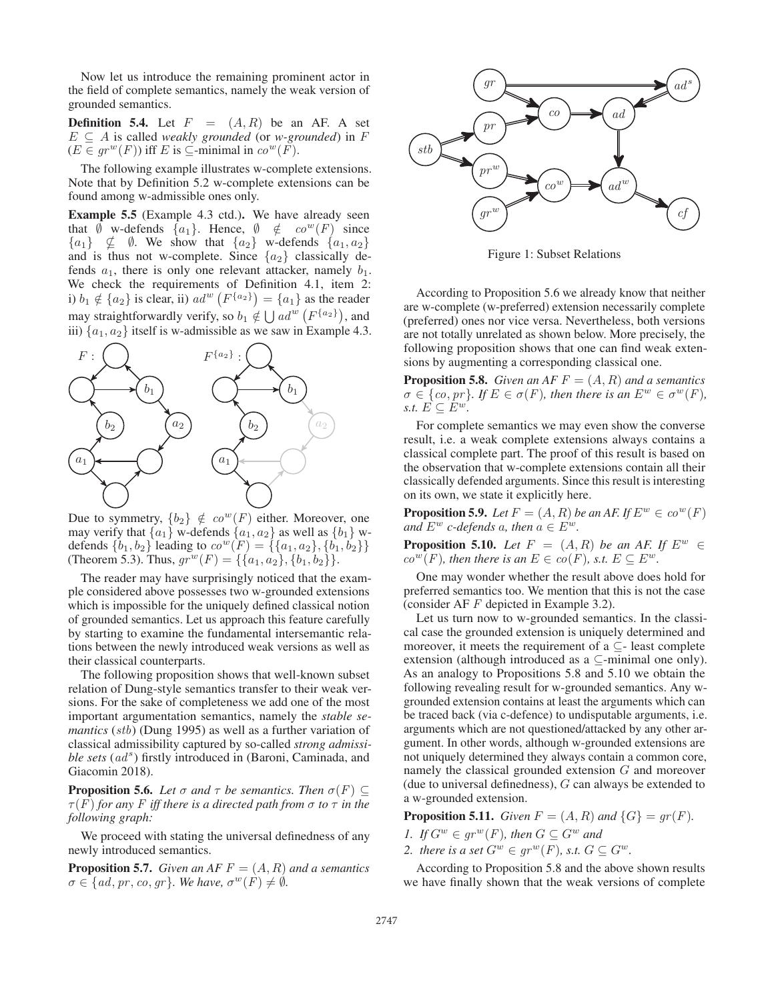Now let us introduce the remaining prominent actor in the field of complete semantics, namely the weak version of grounded semantics.

**Definition 5.4.** Let  $F = (A, R)$  be an AF. A set  $E \subseteq A$  is called *weakly grounded* (or *w-grounded*) in F  $(E \in gr^w(F))$  iff E is  $\subseteq$ -minimal in  $co^w(F)$ .

The following example illustrates w-complete extensions. Note that by Definition 5.2 w-complete extensions can be found among w-admissible ones only.

Example 5.5 (Example 4.3 ctd.). We have already seen that Ø w-defends  $\{a_1\}$ . Hence,  $\emptyset \notin co^w(F)$  since  ${a_1} \not\subseteq \emptyset$ . We show that  ${a_2}$  w-defends  ${a_1, a_2}$ and is thus not w-complete. Since  ${a_2}$  classically defends  $a_1$ , there is only one relevant attacker, namely  $b_1$ . We check the requirements of Definition 4.1, item 2: i)  $b_1 \notin \{a_2\}$  is clear, ii)  $ad^{w}(F^{\{a_2\}}) = \{a_1\}$  as the reader may straightforwardly verify, so  $b_1 \notin \bigcup ad^w(F^{\{a_2\}})$ , and iii)  $\{a_1, a_2\}$  itself is w-admissible as we saw in Example 4.3.



Due to symmetry,  $\{b_2\} \notin co^w(F)$  either. Moreover, one may verify that  $\{a_1\}$  w-defends  $\{a_1, a_2\}$  as well as  $\{b_1\}$  wdefends  $\{b_1, b_2\}$  leading to  $co^w(F) = \{\{a_1, a_2\}, \{b_1, b_2\}\}\$ (Theorem 5.3). Thus,  $gr^w(F) = \{ \{a_1, a_2\}, \{b_1, b_2\} \}.$ 

The reader may have surprisingly noticed that the example considered above possesses two w-grounded extensions which is impossible for the uniquely defined classical notion of grounded semantics. Let us approach this feature carefully by starting to examine the fundamental intersemantic relations between the newly introduced weak versions as well as their classical counterparts.

The following proposition shows that well-known subset relation of Dung-style semantics transfer to their weak versions. For the sake of completeness we add one of the most important argumentation semantics, namely the *stable semantics* (*stb*) (Dung 1995) as well as a further variation of classical admissibility captured by so-called *strong admissi*ble sets (ad<sup>s</sup>) firstly introduced in (Baroni, Caminada, and Giacomin 2018).

**Proposition 5.6.** *Let*  $\sigma$  *and*  $\tau$  *be semantics. Then*  $\sigma(F) \subseteq$  $\tau(F)$  *for any* F *iff there is a directed path from*  $\sigma$  *to*  $\tau$  *in the following graph:*

We proceed with stating the universal definedness of any newly introduced semantics.

**Proposition 5.7.** *Given an AF*  $F = (A, R)$  *and a semantics*  $\sigma \in \{ad, pr, co, gr\}$ *. We have,*  $\sigma^w(F) \neq \emptyset$ *.* 



Figure 1: Subset Relations

According to Proposition 5.6 we already know that neither are w-complete (w-preferred) extension necessarily complete (preferred) ones nor vice versa. Nevertheless, both versions are not totally unrelated as shown below. More precisely, the following proposition shows that one can find weak extensions by augmenting a corresponding classical one.

**Proposition 5.8.** *Given an AF*  $F = (A, R)$  *and a semantics*  $\sigma \in \{co, pr\}$ *. If*  $E \in \sigma(F)$ *, then there is an*  $E^w \in \sigma^w(F)$ *, s.t.*  $E \subseteq E^w$ .

For complete semantics we may even show the converse result, i.e. a weak complete extensions always contains a classical complete part. The proof of this result is based on the observation that w-complete extensions contain all their classically defended arguments. Since this result is interesting on its own, we state it explicitly here.

**Proposition 5.9.** *Let*  $F = (A, R)$  *be an AF. If*  $E^w \in co^w(F)$ *and*  $E^w$  *c*-defends a, then  $a \in E^w$ .

**Proposition 5.10.** *Let*  $F = (A, R)$  *be an AF. If*  $E^w \in$  $co^{w}(F)$ *, then there is an*  $E \in co(F)$ *, s.t.*  $E \subseteq E^{w}$ *.* 

One may wonder whether the result above does hold for preferred semantics too. We mention that this is not the case (consider AF F depicted in Example 3.2).

Let us turn now to w-grounded semantics. In the classical case the grounded extension is uniquely determined and moreover, it meets the requirement of a  $\subseteq$ - least complete extension (although introduced as a ⊆-minimal one only). As an analogy to Propositions 5.8 and 5.10 we obtain the following revealing result for w-grounded semantics. Any wgrounded extension contains at least the arguments which can be traced back (via c-defence) to undisputable arguments, i.e. arguments which are not questioned/attacked by any other argument. In other words, although w-grounded extensions are not uniquely determined they always contain a common core, namely the classical grounded extension G and moreover (due to universal definedness), G can always be extended to a w-grounded extension.

**Proposition 5.11.** *Given*  $F = (A, R)$  *and*  $\{G\} = qr(F)$ *.* 

- *1. If*  $G^w \in qr^w(F)$ *, then*  $G \subseteq G^w$  *and*
- *2. there is a set*  $G^w \in gr^w(F)$ *, s.t.*  $G \subseteq G^w$ *.*

According to Proposition 5.8 and the above shown results we have finally shown that the weak versions of complete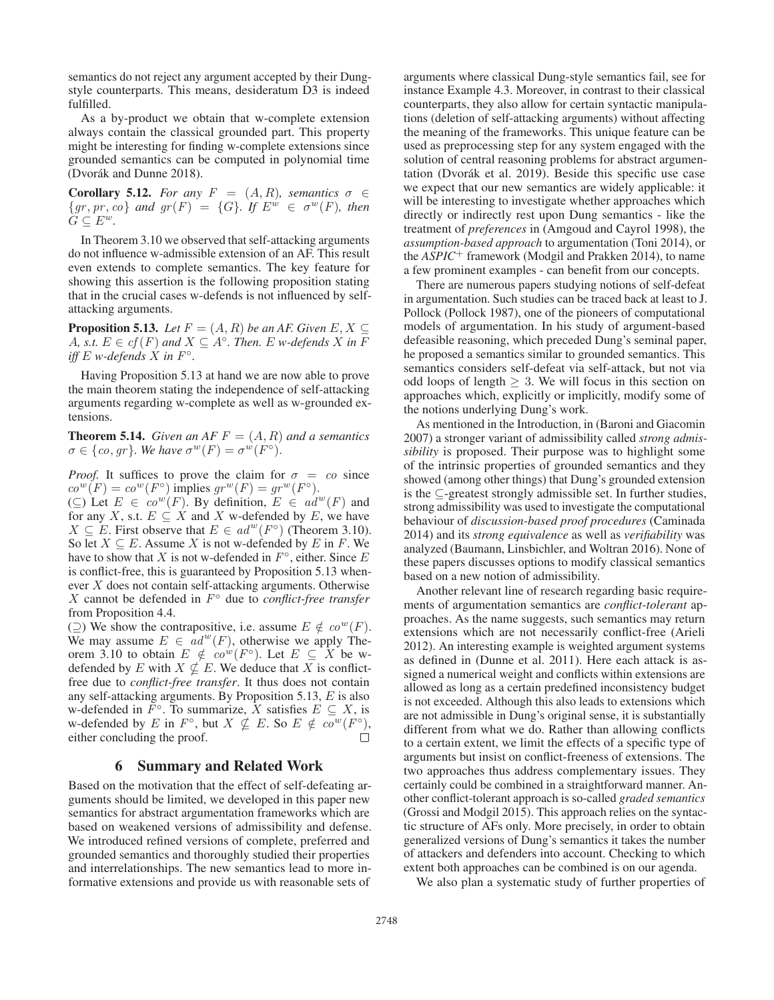semantics do not reject any argument accepted by their Dungstyle counterparts. This means, desideratum D3 is indeed fulfilled.

As a by-product we obtain that w-complete extension always contain the classical grounded part. This property might be interesting for finding w-complete extensions since grounded semantics can be computed in polynomial time (Dvorák and Dunne 2018).

**Corollary 5.12.** *For any*  $F = (A, R)$ *, semantics*  $\sigma \in$  ${gr, pr, co}$  *and*  $gr(F) = {G}$ *. If*  $E^{\hat{w}} \in \sigma^w(F)$ *, then*  $G \subseteq E^w$ .

In Theorem 3.10 we observed that self-attacking arguments do not influence w-admissible extension of an AF. This result even extends to complete semantics. The key feature for showing this assertion is the following proposition stating that in the crucial cases w-defends is not influenced by selfattacking arguments.

**Proposition 5.13.** *Let*  $F = (A, R)$  *be an AF. Given*  $E, X \subseteq$ A, s.t.  $E \in cf(F)$  and  $X \subseteq A^\circ$ . Then. E w-defends X in F *iff*  $E$  *w-defends*  $X$  *in*  $F^\circ$ .

Having Proposition 5.13 at hand we are now able to prove the main theorem stating the independence of self-attacking arguments regarding w-complete as well as w-grounded extensions.

**Theorem 5.14.** *Given an AF*  $F = (A, R)$  *and a semantics*  $\sigma \in \{co, gr\}$ *. We have*  $\sigma^w(F) = \sigma^w(F^{\circ})$ *.* 

*Proof.* It suffices to prove the claim for  $\sigma = co$  since  $co^w(F) = co^w(F^{\circ})$  implies  $gr^w(F) = gr^w(F^{\circ}).$ 

(⊆) Let  $E \in co^w(F)$ . By definition,  $E \in ad^w(F)$  and for any X, s.t.  $E \subseteq X$  and X w-defended by E, we have  $X \subseteq E$ . First observe that  $E \in ad^w(F^{\circ})$  (Theorem 3.10). So let  $X \subseteq E$ . Assume X is not w-defended by E in F. We have to show that X is not w-defended in  $F^{\circ}$ , either. Since E is conflict-free, this is guaranteed by Proposition 5.13 whenever X does not contain self-attacking arguments. Otherwise X cannot be defended in F◦ due to *conflict-free transfer* from Proposition 4.4.

(⊇) We show the contrapositive, i.e. assume  $E \notin co<sup>w</sup>(F)$ . We may assume  $E \in ad^w(F)$ , otherwise we apply Theorem 3.10 to obtain  $E \notin co^w(F^{\circ})$ . Let  $E \subseteq X$  be wdefended by E with  $X \nsubseteq E$ . We deduce that X is conflictfree due to *conflict-free transfer*. It thus does not contain any self-attacking arguments. By Proposition 5.13,  $E$  is also w-defended in  $F^{\circ}$ . To summarize, X satisfies  $E \subseteq X$ , is w-defended by E in F<sup>°</sup>, but  $X \nsubseteq E$ . So  $E \notin co^w(F^{\circ})$ , either concluding the proof. either concluding the proof.

## 6 Summary and Related Work

Based on the motivation that the effect of self-defeating arguments should be limited, we developed in this paper new semantics for abstract argumentation frameworks which are based on weakened versions of admissibility and defense. We introduced refined versions of complete, preferred and grounded semantics and thoroughly studied their properties and interrelationships. The new semantics lead to more informative extensions and provide us with reasonable sets of

arguments where classical Dung-style semantics fail, see for instance Example 4.3. Moreover, in contrast to their classical counterparts, they also allow for certain syntactic manipulations (deletion of self-attacking arguments) without affecting the meaning of the frameworks. This unique feature can be used as preprocessing step for any system engaged with the solution of central reasoning problems for abstract argumentation (Dvorák et al. 2019). Beside this specific use case we expect that our new semantics are widely applicable: it will be interesting to investigate whether approaches which directly or indirectly rest upon Dung semantics - like the treatment of *preferences* in (Amgoud and Cayrol 1998), the *assumption-based approach* to argumentation (Toni 2014), or the *ASPIC*<sup>+</sup> framework (Modgil and Prakken 2014), to name a few prominent examples - can benefit from our concepts.

There are numerous papers studying notions of self-defeat in argumentation. Such studies can be traced back at least to J. Pollock (Pollock 1987), one of the pioneers of computational models of argumentation. In his study of argument-based defeasible reasoning, which preceded Dung's seminal paper, he proposed a semantics similar to grounded semantics. This semantics considers self-defeat via self-attack, but not via odd loops of length  $\geq$  3. We will focus in this section on approaches which, explicitly or implicitly, modify some of the notions underlying Dung's work.

As mentioned in the Introduction, in (Baroni and Giacomin 2007) a stronger variant of admissibility called *strong admissibility* is proposed. Their purpose was to highlight some of the intrinsic properties of grounded semantics and they showed (among other things) that Dung's grounded extension is the ⊆-greatest strongly admissible set. In further studies, strong admissibility was used to investigate the computational behaviour of *discussion-based proof procedures* (Caminada 2014) and its *strong equivalence* as well as *verifiability* was analyzed (Baumann, Linsbichler, and Woltran 2016). None of these papers discusses options to modify classical semantics based on a new notion of admissibility.

Another relevant line of research regarding basic requirements of argumentation semantics are *conflict-tolerant* approaches. As the name suggests, such semantics may return extensions which are not necessarily conflict-free (Arieli 2012). An interesting example is weighted argument systems as defined in (Dunne et al. 2011). Here each attack is assigned a numerical weight and conflicts within extensions are allowed as long as a certain predefined inconsistency budget is not exceeded. Although this also leads to extensions which are not admissible in Dung's original sense, it is substantially different from what we do. Rather than allowing conflicts to a certain extent, we limit the effects of a specific type of arguments but insist on conflict-freeness of extensions. The two approaches thus address complementary issues. They certainly could be combined in a straightforward manner. Another conflict-tolerant approach is so-called *graded semantics* (Grossi and Modgil 2015). This approach relies on the syntactic structure of AFs only. More precisely, in order to obtain generalized versions of Dung's semantics it takes the number of attackers and defenders into account. Checking to which extent both approaches can be combined is on our agenda.

We also plan a systematic study of further properties of